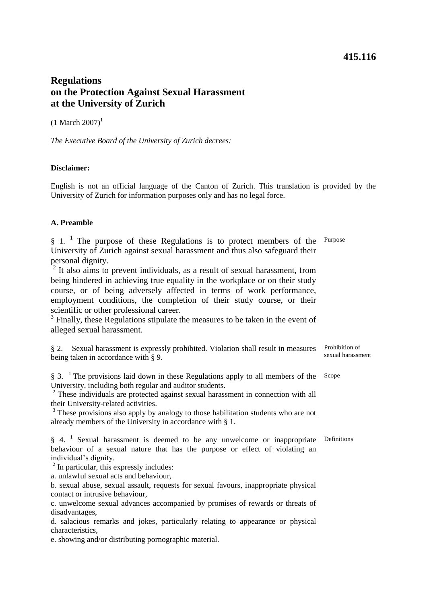## **415.116**

# **Regulations on the Protection Against Sexual Harassment at the University of Zurich**

 $(1 \text{ March } 2007)^1$ 

*The Executive Board of the University of Zurich decrees:* 

## **Disclaimer:**

English is not an official language of the Canton of Zurich. This translation is provided by the University of Zurich for information purposes only and has no legal force.

## **A. Preamble**

 $§$  1.<sup>1</sup> The purpose of these Regulations is to protect members of the <sup>Purpose</sup> University of Zurich against sexual harassment and thus also safeguard their personal dignity.

<sup>2</sup> It also aims to prevent individuals, as a result of sexual harassment, from being hindered in achieving true equality in the workplace or on their study course, or of being adversely affected in terms of work performance, employment conditions, the completion of their study course, or their scientific or other professional career.

<sup>3</sup> Finally, these Regulations stipulate the measures to be taken in the event of alleged sexual harassment.

| § 2. Sexual harassment is expressly prohibited. Violation shall result in measures Prohibition of |                |
|---------------------------------------------------------------------------------------------------|----------------|
| being taken in accordance with $\S$ 9.                                                            | sexual harassn |

§ 3.  $\textsuperscript{1}$  The provisions laid down in these Regulations apply to all members of the Scope University, including both regular and auditor students.

<sup>2</sup> These individuals are protected against sexual harassment in connection with all their University-related activities.

<sup>3</sup> These provisions also apply by analogy to those habilitation students who are not already members of the University in accordance with § 1.

§ 4. <sup>1</sup> Sexual harassment is deemed to be any unwelcome or inappropriate Definitions behaviour of a sexual nature that has the purpose or effect of violating an individual's dignity.

<sup>2</sup> In particular, this expressly includes:

a. unlawful sexual acts and behaviour,

b. sexual abuse, sexual assault, requests for sexual favours, inappropriate physical contact or intrusive behaviour,

c. unwelcome sexual advances accompanied by promises of rewards or threats of disadvantages,

d. salacious remarks and jokes, particularly relating to appearance or physical characteristics,

e. showing and/or distributing pornographic material.

ial harassment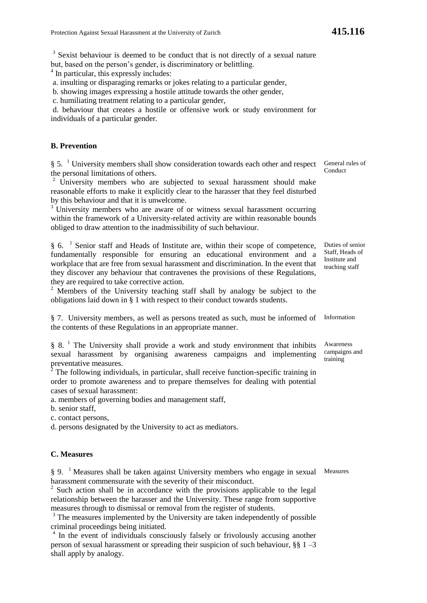<sup>3</sup> Sexist behaviour is deemed to be conduct that is not directly of a sexual nature but, based on the person's gender, is discriminatory or belittling.

<sup>4</sup> In particular, this expressly includes:

a. insulting or disparaging remarks or jokes relating to a particular gender,

b. showing images expressing a hostile attitude towards the other gender,

c. humiliating treatment relating to a particular gender,

d. behaviour that creates a hostile or offensive work or study environment for individuals of a particular gender.

## **B. Prevention**

§ 5. <sup>1</sup> University members shall show consideration towards each other and respect General rules of the personal limitations of others.

<sup>2</sup> University members who are subjected to sexual harassment should make reasonable efforts to make it explicitly clear to the harasser that they feel disturbed by this behaviour and that it is unwelcome.

 $3\overline{U}$  University members who are aware of or witness sexual harassment occurring within the framework of a University-related activity are within reasonable bounds obliged to draw attention to the inadmissibility of such behaviour.

§ 6. <sup>1</sup> Senior staff and Heads of Institute are, within their scope of competence, fundamentally responsible for ensuring an educational environment and a workplace that are free from sexual harassment and discrimination. In the event that they discover any behaviour that contravenes the provisions of these Regulations, they are required to take corrective action.

<sup>2</sup> Members of the University teaching staff shall by analogy be subject to the obligations laid down in § 1 with respect to their conduct towards students.

§ 7. University members, as well as persons treated as such, must be informed of Information the contents of these Regulations in an appropriate manner.

 $§ 8$ . <sup>1</sup> The University shall provide a work and study environment that inhibits sexual harassment by organising awareness campaigns and implementing preventative measures.

 $2^2$  The following individuals, in particular, shall receive function-specific training in order to promote awareness and to prepare themselves for dealing with potential cases of sexual harassment:

a. members of governing bodies and management staff,

b. senior staff,

c. contact persons,

d. persons designated by the University to act as mediators.

#### **C. Measures**

§ 9. <sup>1</sup> Measures shall be taken against University members who engage in sexual Measures harassment commensurate with the severity of their misconduct.

 $2^2$  Such action shall be in accordance with the provisions applicable to the legal relationship between the harasser and the University. These range from supportive measures through to dismissal or removal from the register of students.

<sup>3</sup> The measures implemented by the University are taken independently of possible criminal proceedings being initiated.

<sup>4</sup> In the event of individuals consciously falsely or frivolously accusing another person of sexual harassment or spreading their suspicion of such behaviour, §§ 1 –3 shall apply by analogy.

**Conduct** 

Duties of senior Staff, Heads of Institute and teaching staff

Awareness campaigns and training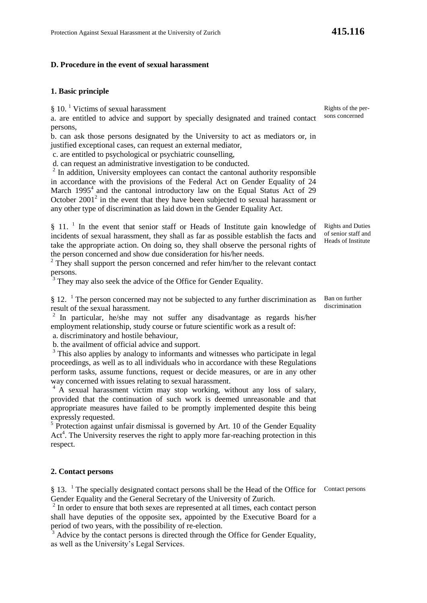#### **D. Procedure in the event of sexual harassment**

### **1. Basic principle**

§ 10.<sup>1</sup> Victims of sexual harassment

a. are entitled to advice and support by specially designated and trained contact persons,

b. can ask those persons designated by the University to act as mediators or, in justified exceptional cases, can request an external mediator,

c. are entitled to psychological or psychiatric counselling,

d. can request an administrative investigation to be conducted.

 $2$  In addition, University employees can contact the cantonal authority responsible in accordance with the provisions of the Federal Act on Gender Equality of 24 March  $1995<sup>4</sup>$  and the cantonal introductory law on the Equal Status Act of 29 October  $2001<sup>2</sup>$  in the event that they have been subjected to sexual harassment or any other type of discrimination as laid down in the Gender Equality Act.

§ 11. <sup>1</sup> In the event that senior staff or Heads of Institute gain knowledge of incidents of sexual harassment, they shall as far as possible establish the facts and take the appropriate action. On doing so, they shall observe the personal rights of the person concerned and show due consideration for his/her needs.

 $2$  They shall support the person concerned and refer him/her to the relevant contact persons.

<sup>3</sup> They may also seek the advice of the Office for Gender Equality.

 $§$  12. <sup>1</sup> The person concerned may not be subjected to any further discrimination as result of the sexual harassment.

 $2$  In particular, he/she may not suffer any disadvantage as regards his/her employment relationship, study course or future scientific work as a result of: a. discriminatory and hostile behaviour,

b. the availment of official advice and support.

<sup>3</sup> This also applies by analogy to informants and witnesses who participate in legal proceedings, as well as to all individuals who in accordance with these Regulations perform tasks, assume functions, request or decide measures, or are in any other way concerned with issues relating to sexual harassment.

<sup>4</sup> A sexual harassment victim may stop working, without any loss of salary, provided that the continuation of such work is deemed unreasonable and that appropriate measures have failed to be promptly implemented despite this being expressly requested.

<sup>5</sup> Protection against unfair dismissal is governed by Art. 10 of the Gender Equality Act<sup>4</sup>. The University reserves the right to apply more far-reaching protection in this respect.

#### **2. Contact persons**

§ 13. <sup>1</sup> The specially designated contact persons shall be the Head of the Office for Gender Equality and the General Secretary of the University of Zurich.

 $2<sup>2</sup>$  In order to ensure that both sexes are represented at all times, each contact person shall have deputies of the opposite sex, appointed by the Executive Board for a period of two years, with the possibility of re-election.

<sup>3</sup> Advice by the contact persons is directed through the Office for Gender Equality, as well as the University's Legal Services.

Rights of the persons concerned

Rights and Duties of senior staff and Heads of Institute

Ban on further discrimination

Contact persons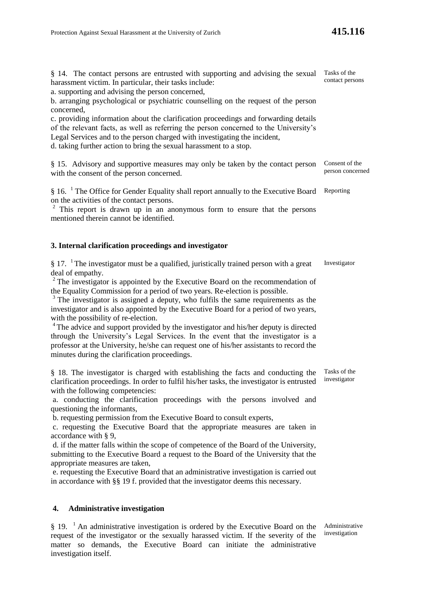§ 14. The contact persons are entrusted with supporting and advising the sexual Tasks of the harassment victim. In particular, their tasks include:

a. supporting and advising the person concerned,

b. arranging psychological or psychiatric counselling on the request of the person concerned,

c. providing information about the clarification proceedings and forwarding details of the relevant facts, as well as referring the person concerned to the University's Legal Services and to the person charged with investigating the incident, d. taking further action to bring the sexual harassment to a stop.

§ 15. Advisory and supportive measures may only be taken by the contact person with the consent of the person concerned. Consent of the

§ 16. <sup>1</sup> The Office for Gender Equality shall report annually to the Executive Board Reporting on the activities of the contact persons.

 $2 \text{ This report is drawn up in an anonymous form to ensure that the persons.}$ mentioned therein cannot be identified.

#### **3. Internal clarification proceedings and investigator**

 $§$  17. <sup>1</sup>The investigator must be a qualified, juristically trained person with a great deal of empathy. Investigator

<sup>2</sup> The investigator is appointed by the Executive Board on the recommendation of the Equality Commission for a period of two years. Re-election is possible.

<sup>3</sup> The investigator is assigned a deputy, who fulfils the same requirements as the investigator and is also appointed by the Executive Board for a period of two years, with the possibility of re-election.

<sup>4</sup>The advice and support provided by the investigator and his/her deputy is directed through the University's Legal Services. In the event that the investigator is a professor at the University, he/she can request one of his/her assistants to record the minutes during the clarification proceedings.

§ 18. The investigator is charged with establishing the facts and conducting the clarification proceedings. In order to fulfil his/her tasks, the investigator is entrusted with the following competencies: investigator

a. conducting the clarification proceedings with the persons involved and questioning the informants,

b. requesting permission from the Executive Board to consult experts,

c. requesting the Executive Board that the appropriate measures are taken in accordance with § 9,

d. if the matter falls within the scope of competence of the Board of the University, submitting to the Executive Board a request to the Board of the University that the appropriate measures are taken,

e. requesting the Executive Board that an administrative investigation is carried out in accordance with §§ 19 f. provided that the investigator deems this necessary.

### **4. Administrative investigation**

 $§$  19. <sup>1</sup> An administrative investigation is ordered by the Executive Board on the request of the investigator or the sexually harassed victim. If the severity of the matter so demands, the Executive Board can initiate the administrative investigation itself.

Administrative investigation

Tasks of the

person concerned

contact persons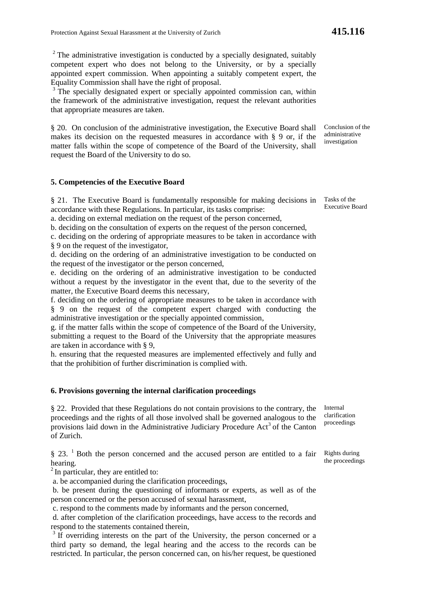$2$  The administrative investigation is conducted by a specially designated, suitably competent expert who does not belong to the University, or by a specially appointed expert commission. When appointing a suitably competent expert, the Equality Commission shall have the right of proposal.

<sup>3</sup> The specially designated expert or specially appointed commission can, within the framework of the administrative investigation, request the relevant authorities that appropriate measures are taken.

§ 20. On conclusion of the administrative investigation, the Executive Board shall makes its decision on the requested measures in accordance with § 9 or, if the matter falls within the scope of competence of the Board of the University, shall request the Board of the University to do so.

#### **5. Competencies of the Executive Board**

§ 21. The Executive Board is fundamentally responsible for making decisions in accordance with these Regulations. In particular, its tasks comprise:

a. deciding on external mediation on the request of the person concerned,

b. deciding on the consultation of experts on the request of the person concerned,

c. deciding on the ordering of appropriate measures to be taken in accordance with § 9 on the request of the investigator,

d. deciding on the ordering of an administrative investigation to be conducted on the request of the investigator or the person concerned,

e. deciding on the ordering of an administrative investigation to be conducted without a request by the investigator in the event that, due to the severity of the matter, the Executive Board deems this necessary,

f. deciding on the ordering of appropriate measures to be taken in accordance with § 9 on the request of the competent expert charged with conducting the administrative investigation or the specially appointed commission,

g. if the matter falls within the scope of competence of the Board of the University, submitting a request to the Board of the University that the appropriate measures are taken in accordance with § 9,

h. ensuring that the requested measures are implemented effectively and fully and that the prohibition of further discrimination is complied with.

#### **6. Provisions governing the internal clarification proceedings**

§ 22. Provided that these Regulations do not contain provisions to the contrary, the proceedings and the rights of all those involved shall be governed analogous to the provisions laid down in the Administrative Judiciary Procedure Act<sup>3</sup> of the Canton of Zurich.

 $§$  23. <sup>1</sup> Both the person concerned and the accused person are entitled to a fair hearing.

 $2$  In particular, they are entitled to:

a. be accompanied during the clarification proceedings,

b. be present during the questioning of informants or experts, as well as of the person concerned or the person accused of sexual harassment,

c. respond to the comments made by informants and the person concerned,

d. after completion of the clarification proceedings, have access to the records and respond to the statements contained therein,

 $3$  If overriding interests on the part of the University, the person concerned or a third party so demand, the legal hearing and the access to the records can be restricted. In particular, the person concerned can, on his/her request, be questioned

Internal clarification proceedings

Rights during the proceedings

Tasks of the Executive Board

Conclusion of the administrative investigation